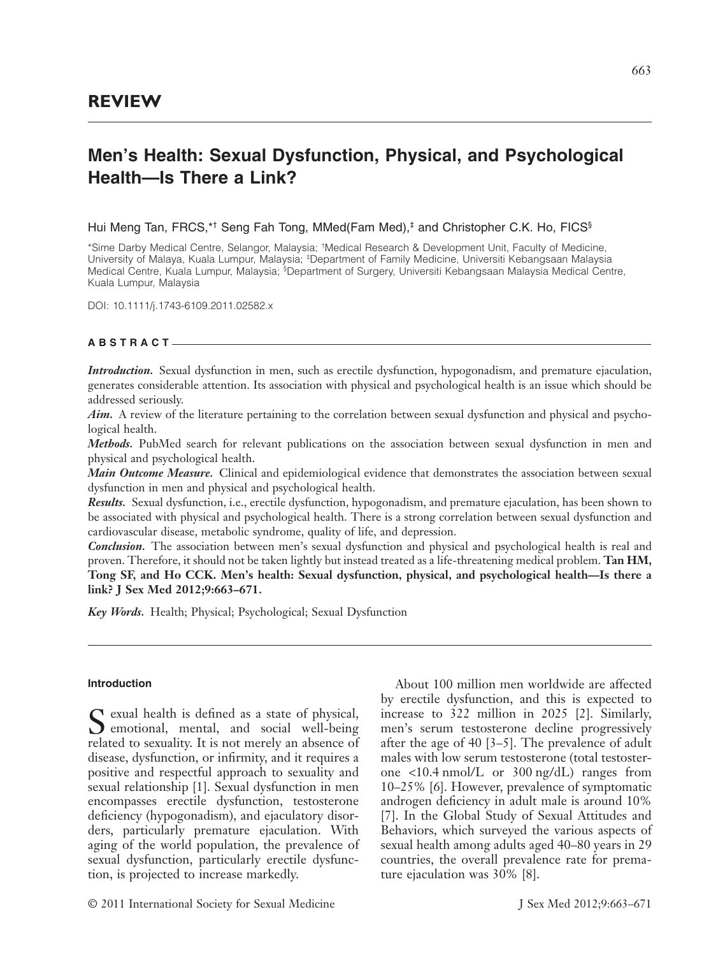# **Men's Health: Sexual Dysfunction, Physical, and Psychological Health—Is There a Link?**

Hui Meng Tan, FRCS,<sup>\*†</sup> Seng Fah Tong, MMed(Fam Med), $\ddagger$  and Christopher C.K. Ho, FICS<sup>§</sup>

\*Sime Darby Medical Centre, Selangor, Malaysia; † Medical Research & Development Unit, Faculty of Medicine, University of Malaya, Kuala Lumpur, Malaysia; <sup>‡</sup>Department of Family Medicine, Universiti Kebangsaan Malaysia Medical Centre, Kuala Lumpur, Malaysia; <sup>§</sup>Department of Surgery, Universiti Kebangsaan Malaysia Medical Centre, Kuala Lumpur, Malaysia

DOI: 10.1111/j.1743-6109.2011.02582.x

# **ABSTRACT**

*Introduction.* Sexual dysfunction in men, such as erectile dysfunction, hypogonadism, and premature ejaculation, generates considerable attention. Its association with physical and psychological health is an issue which should be addressed seriously.

*Aim.* A review of the literature pertaining to the correlation between sexual dysfunction and physical and psychological health.

*Methods.* PubMed search for relevant publications on the association between sexual dysfunction in men and physical and psychological health.

*Main Outcome Measure.* Clinical and epidemiological evidence that demonstrates the association between sexual dysfunction in men and physical and psychological health.

*Results.* Sexual dysfunction, i.e., erectile dysfunction, hypogonadism, and premature ejaculation, has been shown to be associated with physical and psychological health. There is a strong correlation between sexual dysfunction and cardiovascular disease, metabolic syndrome, quality of life, and depression.

*Conclusion.* The association between men's sexual dysfunction and physical and psychological health is real and proven. Therefore, it should not be taken lightly but instead treated as a life-threatening medical problem. **Tan HM, Tong SF, and Ho CCK. Men's health: Sexual dysfunction, physical, and psychological health—Is there a link? J Sex Med 2012;9:663–671.**

*Key Words.* Health; Physical; Psychological; Sexual Dysfunction

## **Introduction**

 $\Gamma$  exual health is defined as a state of physical, emotional, mental, and social well-being related to sexuality. It is not merely an absence of disease, dysfunction, or infirmity, and it requires a positive and respectful approach to sexuality and sexual relationship [1]. Sexual dysfunction in men encompasses erectile dysfunction, testosterone deficiency (hypogonadism), and ejaculatory disorders, particularly premature ejaculation. With aging of the world population, the prevalence of sexual dysfunction, particularly erectile dysfunction, is projected to increase markedly.

About 100 million men worldwide are affected by erectile dysfunction, and this is expected to increase to 322 million in 2025 [2]. Similarly, men's serum testosterone decline progressively after the age of 40 [3–5]. The prevalence of adult males with low serum testosterone (total testosterone <10.4 nmol/L or 300 ng/dL) ranges from 10–25% [6]. However, prevalence of symptomatic androgen deficiency in adult male is around 10% [7]. In the Global Study of Sexual Attitudes and Behaviors, which surveyed the various aspects of sexual health among adults aged 40–80 years in 29 countries, the overall prevalence rate for premature ejaculation was 30% [8].

663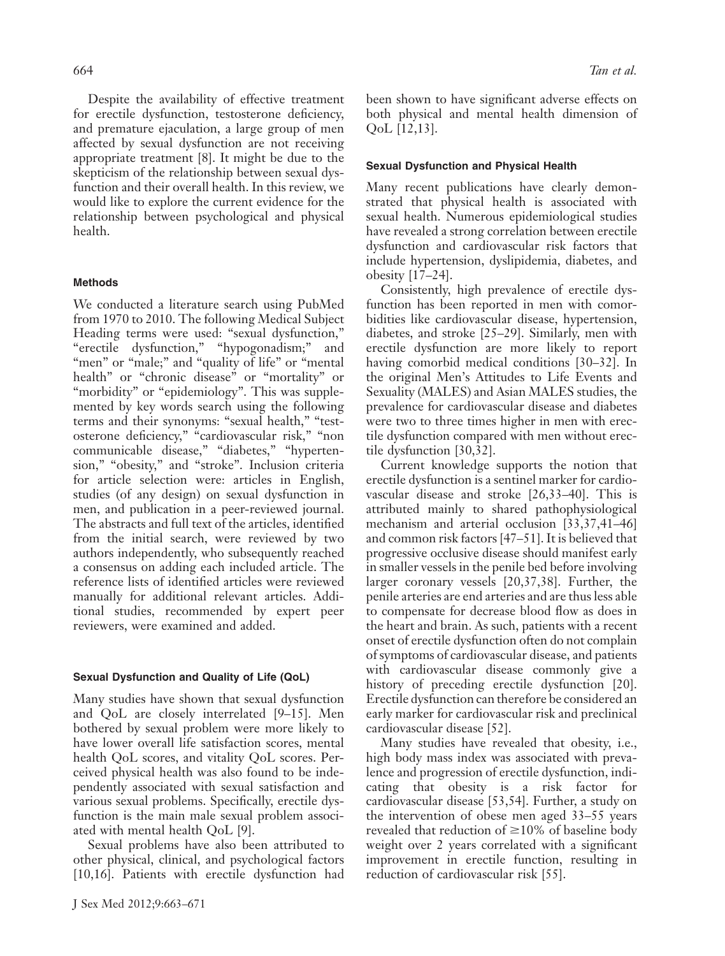Despite the availability of effective treatment for erectile dysfunction, testosterone deficiency, and premature ejaculation, a large group of men affected by sexual dysfunction are not receiving appropriate treatment [8]. It might be due to the skepticism of the relationship between sexual dysfunction and their overall health. In this review, we would like to explore the current evidence for the relationship between psychological and physical health.

# **Methods**

We conducted a literature search using PubMed from 1970 to 2010. The following Medical Subject Heading terms were used: "sexual dysfunction," "erectile dysfunction," "hypogonadism;" and "men" or "male;" and "quality of life" or "mental health" or "chronic disease" or "mortality" or "morbidity" or "epidemiology". This was supplemented by key words search using the following terms and their synonyms: "sexual health," "testosterone deficiency," "cardiovascular risk," "non communicable disease," "diabetes," "hypertension," "obesity," and "stroke". Inclusion criteria for article selection were: articles in English, studies (of any design) on sexual dysfunction in men, and publication in a peer-reviewed journal. The abstracts and full text of the articles, identified from the initial search, were reviewed by two authors independently, who subsequently reached a consensus on adding each included article. The reference lists of identified articles were reviewed manually for additional relevant articles. Additional studies, recommended by expert peer reviewers, were examined and added.

## **Sexual Dysfunction and Quality of Life (QoL)**

Many studies have shown that sexual dysfunction and QoL are closely interrelated [9–15]. Men bothered by sexual problem were more likely to have lower overall life satisfaction scores, mental health QoL scores, and vitality QoL scores. Perceived physical health was also found to be independently associated with sexual satisfaction and various sexual problems. Specifically, erectile dysfunction is the main male sexual problem associated with mental health QoL [9].

Sexual problems have also been attributed to other physical, clinical, and psychological factors [10,16]. Patients with erectile dysfunction had

been shown to have significant adverse effects on both physical and mental health dimension of QoL [12,13].

## **Sexual Dysfunction and Physical Health**

Many recent publications have clearly demonstrated that physical health is associated with sexual health. Numerous epidemiological studies have revealed a strong correlation between erectile dysfunction and cardiovascular risk factors that include hypertension, dyslipidemia, diabetes, and obesity [17–24].

Consistently, high prevalence of erectile dysfunction has been reported in men with comorbidities like cardiovascular disease, hypertension, diabetes, and stroke [25–29]. Similarly, men with erectile dysfunction are more likely to report having comorbid medical conditions [30–32]. In the original Men's Attitudes to Life Events and Sexuality (MALES) and Asian MALES studies, the prevalence for cardiovascular disease and diabetes were two to three times higher in men with erectile dysfunction compared with men without erectile dysfunction [30,32].

Current knowledge supports the notion that erectile dysfunction is a sentinel marker for cardiovascular disease and stroke [26,33–40]. This is attributed mainly to shared pathophysiological mechanism and arterial occlusion [33,37,41–46] and common risk factors [47–51]. It is believed that progressive occlusive disease should manifest early in smaller vessels in the penile bed before involving larger coronary vessels [20,37,38]. Further, the penile arteries are end arteries and are thus less able to compensate for decrease blood flow as does in the heart and brain. As such, patients with a recent onset of erectile dysfunction often do not complain of symptoms of cardiovascular disease, and patients with cardiovascular disease commonly give a history of preceding erectile dysfunction [20]. Erectile dysfunction can therefore be considered an early marker for cardiovascular risk and preclinical cardiovascular disease [52].

Many studies have revealed that obesity, i.e., high body mass index was associated with prevalence and progression of erectile dysfunction, indicating that obesity is a risk factor for cardiovascular disease [53,54]. Further, a study on the intervention of obese men aged 33–55 years revealed that reduction of  $\geq$ 10% of baseline body weight over 2 years correlated with a significant improvement in erectile function, resulting in reduction of cardiovascular risk [55].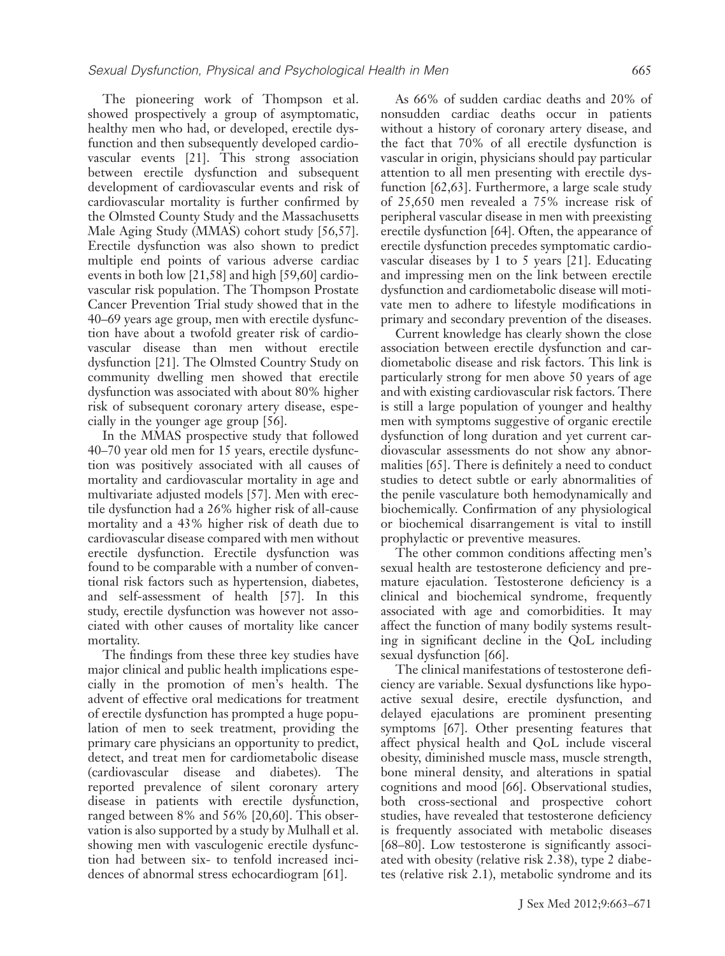The pioneering work of Thompson et al. showed prospectively a group of asymptomatic, healthy men who had, or developed, erectile dysfunction and then subsequently developed cardiovascular events [21]. This strong association between erectile dysfunction and subsequent development of cardiovascular events and risk of cardiovascular mortality is further confirmed by the Olmsted County Study and the Massachusetts Male Aging Study (MMAS) cohort study [56,57]. Erectile dysfunction was also shown to predict multiple end points of various adverse cardiac events in both low [21,58] and high [59,60] cardiovascular risk population. The Thompson Prostate Cancer Prevention Trial study showed that in the 40–69 years age group, men with erectile dysfunction have about a twofold greater risk of cardiovascular disease than men without erectile dysfunction [21]. The Olmsted Country Study on community dwelling men showed that erectile dysfunction was associated with about 80% higher risk of subsequent coronary artery disease, especially in the younger age group [56].

In the MMAS prospective study that followed 40–70 year old men for 15 years, erectile dysfunction was positively associated with all causes of mortality and cardiovascular mortality in age and multivariate adjusted models [57]. Men with erectile dysfunction had a 26% higher risk of all-cause mortality and a 43% higher risk of death due to cardiovascular disease compared with men without erectile dysfunction. Erectile dysfunction was found to be comparable with a number of conventional risk factors such as hypertension, diabetes, and self-assessment of health [57]. In this study, erectile dysfunction was however not associated with other causes of mortality like cancer mortality.

The findings from these three key studies have major clinical and public health implications especially in the promotion of men's health. The advent of effective oral medications for treatment of erectile dysfunction has prompted a huge population of men to seek treatment, providing the primary care physicians an opportunity to predict, detect, and treat men for cardiometabolic disease (cardiovascular disease and diabetes). The reported prevalence of silent coronary artery disease in patients with erectile dysfunction, ranged between 8% and 56% [20,60]. This observation is also supported by a study by Mulhall et al. showing men with vasculogenic erectile dysfunction had between six- to tenfold increased incidences of abnormal stress echocardiogram [61].

As 66% of sudden cardiac deaths and 20% of nonsudden cardiac deaths occur in patients without a history of coronary artery disease, and the fact that 70% of all erectile dysfunction is vascular in origin, physicians should pay particular attention to all men presenting with erectile dysfunction [62,63]. Furthermore, a large scale study of 25,650 men revealed a 75% increase risk of peripheral vascular disease in men with preexisting erectile dysfunction [64]. Often, the appearance of erectile dysfunction precedes symptomatic cardiovascular diseases by 1 to 5 years [21]. Educating and impressing men on the link between erectile dysfunction and cardiometabolic disease will motivate men to adhere to lifestyle modifications in primary and secondary prevention of the diseases.

Current knowledge has clearly shown the close association between erectile dysfunction and cardiometabolic disease and risk factors. This link is particularly strong for men above 50 years of age and with existing cardiovascular risk factors. There is still a large population of younger and healthy men with symptoms suggestive of organic erectile dysfunction of long duration and yet current cardiovascular assessments do not show any abnormalities [65]. There is definitely a need to conduct studies to detect subtle or early abnormalities of the penile vasculature both hemodynamically and biochemically. Confirmation of any physiological or biochemical disarrangement is vital to instill prophylactic or preventive measures.

The other common conditions affecting men's sexual health are testosterone deficiency and premature ejaculation. Testosterone deficiency is a clinical and biochemical syndrome, frequently associated with age and comorbidities. It may affect the function of many bodily systems resulting in significant decline in the QoL including sexual dysfunction [66].

The clinical manifestations of testosterone deficiency are variable. Sexual dysfunctions like hypoactive sexual desire, erectile dysfunction, and delayed ejaculations are prominent presenting symptoms [67]. Other presenting features that affect physical health and QoL include visceral obesity, diminished muscle mass, muscle strength, bone mineral density, and alterations in spatial cognitions and mood [66]. Observational studies, both cross-sectional and prospective cohort studies, have revealed that testosterone deficiency is frequently associated with metabolic diseases [68–80]. Low testosterone is significantly associated with obesity (relative risk 2.38), type 2 diabetes (relative risk 2.1), metabolic syndrome and its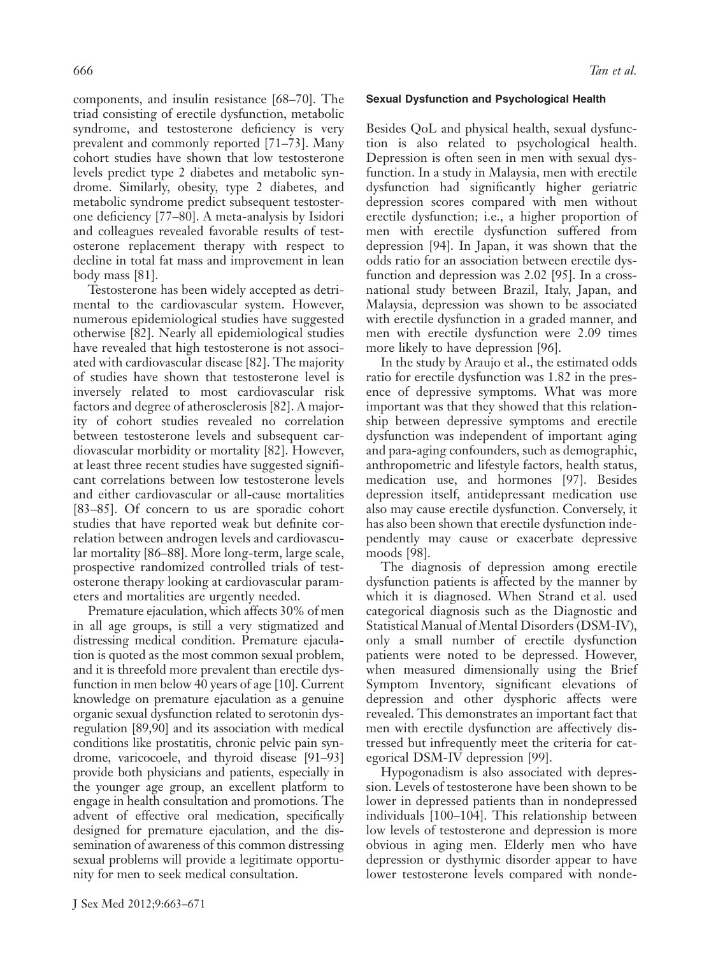components, and insulin resistance [68–70]. The triad consisting of erectile dysfunction, metabolic syndrome, and testosterone deficiency is very prevalent and commonly reported [71–73]. Many cohort studies have shown that low testosterone levels predict type 2 diabetes and metabolic syndrome. Similarly, obesity, type 2 diabetes, and metabolic syndrome predict subsequent testosterone deficiency [77–80]. A meta-analysis by Isidori and colleagues revealed favorable results of testosterone replacement therapy with respect to decline in total fat mass and improvement in lean body mass [81].

Testosterone has been widely accepted as detrimental to the cardiovascular system. However, numerous epidemiological studies have suggested otherwise [82]. Nearly all epidemiological studies have revealed that high testosterone is not associated with cardiovascular disease [82]. The majority of studies have shown that testosterone level is inversely related to most cardiovascular risk factors and degree of atherosclerosis [82]. A majority of cohort studies revealed no correlation between testosterone levels and subsequent cardiovascular morbidity or mortality [82]. However, at least three recent studies have suggested significant correlations between low testosterone levels and either cardiovascular or all-cause mortalities [83–85]. Of concern to us are sporadic cohort studies that have reported weak but definite correlation between androgen levels and cardiovascular mortality [86–88]. More long-term, large scale, prospective randomized controlled trials of testosterone therapy looking at cardiovascular parameters and mortalities are urgently needed.

Premature ejaculation, which affects 30% of men in all age groups, is still a very stigmatized and distressing medical condition. Premature ejaculation is quoted as the most common sexual problem, and it is threefold more prevalent than erectile dysfunction in men below 40 years of age [10]. Current knowledge on premature ejaculation as a genuine organic sexual dysfunction related to serotonin dysregulation [89,90] and its association with medical conditions like prostatitis, chronic pelvic pain syndrome, varicocoele, and thyroid disease [91–93] provide both physicians and patients, especially in the younger age group, an excellent platform to engage in health consultation and promotions. The advent of effective oral medication, specifically designed for premature ejaculation, and the dissemination of awareness of this common distressing sexual problems will provide a legitimate opportunity for men to seek medical consultation.

# **Sexual Dysfunction and Psychological Health**

Besides QoL and physical health, sexual dysfunction is also related to psychological health. Depression is often seen in men with sexual dysfunction. In a study in Malaysia, men with erectile dysfunction had significantly higher geriatric depression scores compared with men without erectile dysfunction; i.e., a higher proportion of men with erectile dysfunction suffered from depression [94]. In Japan, it was shown that the odds ratio for an association between erectile dysfunction and depression was 2.02 [95]. In a crossnational study between Brazil, Italy, Japan, and Malaysia, depression was shown to be associated with erectile dysfunction in a graded manner, and men with erectile dysfunction were 2.09 times more likely to have depression [96].

In the study by Araujo et al., the estimated odds ratio for erectile dysfunction was 1.82 in the presence of depressive symptoms. What was more important was that they showed that this relationship between depressive symptoms and erectile dysfunction was independent of important aging and para-aging confounders, such as demographic, anthropometric and lifestyle factors, health status, medication use, and hormones [97]. Besides depression itself, antidepressant medication use also may cause erectile dysfunction. Conversely, it has also been shown that erectile dysfunction independently may cause or exacerbate depressive moods [98].

The diagnosis of depression among erectile dysfunction patients is affected by the manner by which it is diagnosed. When Strand et al. used categorical diagnosis such as the Diagnostic and Statistical Manual of Mental Disorders (DSM-IV), only a small number of erectile dysfunction patients were noted to be depressed. However, when measured dimensionally using the Brief Symptom Inventory, significant elevations of depression and other dysphoric affects were revealed. This demonstrates an important fact that men with erectile dysfunction are affectively distressed but infrequently meet the criteria for categorical DSM-IV depression [99].

Hypogonadism is also associated with depression. Levels of testosterone have been shown to be lower in depressed patients than in nondepressed individuals [100–104]. This relationship between low levels of testosterone and depression is more obvious in aging men. Elderly men who have depression or dysthymic disorder appear to have lower testosterone levels compared with nonde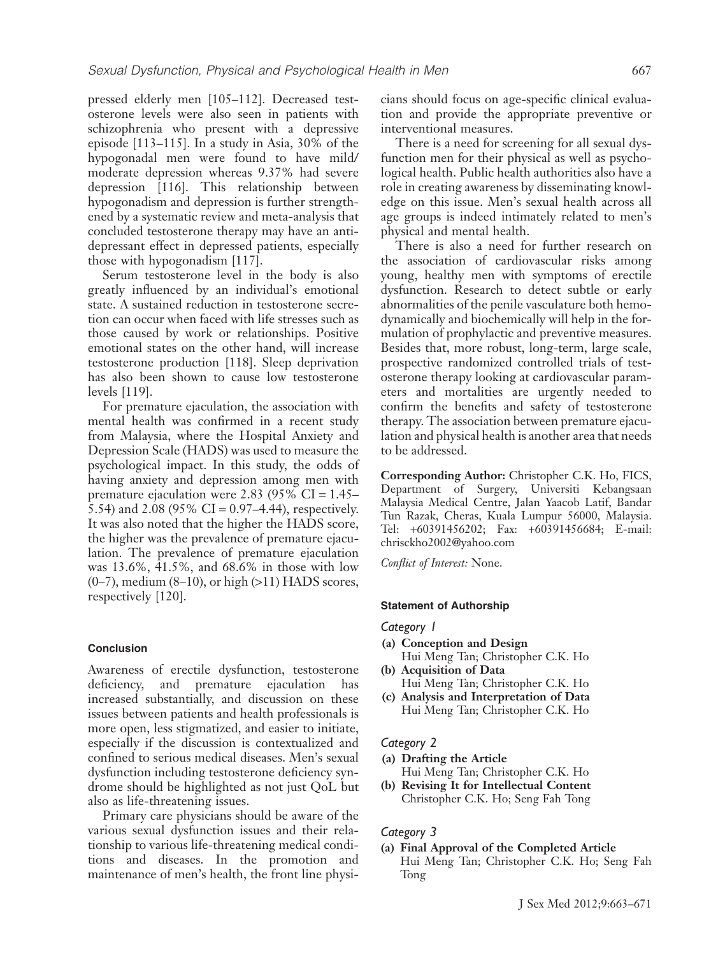pressed elderly men [105–112]. Decreased testosterone levels were also seen in patients with schizophrenia who present with a depressive episode [113–115]. In a study in Asia, 30% of the hypogonadal men were found to have mild/ moderate depression whereas 9.37% had severe depression [116]. This relationship between hypogonadism and depression is further strengthened by a systematic review and meta-analysis that concluded testosterone therapy may have an antidepressant effect in depressed patients, especially those with hypogonadism [117].

Serum testosterone level in the body is also greatly influenced by an individual's emotional state. A sustained reduction in testosterone secretion can occur when faced with life stresses such as those caused by work or relationships. Positive emotional states on the other hand, will increase testosterone production [118]. Sleep deprivation has also been shown to cause low testosterone levels [119].

For premature ejaculation, the association with mental health was confirmed in a recent study from Malaysia, where the Hospital Anxiety and Depression Scale (HADS) was used to measure the psychological impact. In this study, the odds of having anxiety and depression among men with premature ejaculation were 2.83 (95% CI =  $1.45-$ 5.54) and 2.08 (95% CI =  $0.97-4.44$ ), respectively. It was also noted that the higher the HADS score, the higher was the prevalence of premature ejaculation. The prevalence of premature ejaculation was 13.6%, 41.5%, and 68.6% in those with low  $(0-7)$ , medium  $(8-10)$ , or high  $(>11)$  HADS scores, respectively [120].

# **Conclusion**

Awareness of erectile dysfunction, testosterone deficiency, and premature ejaculation has increased substantially, and discussion on these issues between patients and health professionals is more open, less stigmatized, and easier to initiate, especially if the discussion is contextualized and confined to serious medical diseases. Men's sexual dysfunction including testosterone deficiency syndrome should be highlighted as not just QoL but also as life-threatening issues.

Primary care physicians should be aware of the various sexual dysfunction issues and their relationship to various life-threatening medical conditions and diseases. In the promotion and maintenance of men's health, the front line physicians should focus on age-specific clinical evaluation and provide the appropriate preventive or interventional measures.

There is a need for screening for all sexual dysfunction men for their physical as well as psychological health. Public health authorities also have a role in creating awareness by disseminating knowledge on this issue. Men's sexual health across all age groups is indeed intimately related to men's physical and mental health.

There is also a need for further research on the association of cardiovascular risks among young, healthy men with symptoms of erectile dysfunction. Research to detect subtle or early abnormalities of the penile vasculature both hemodynamically and biochemically will help in the formulation of prophylactic and preventive measures. Besides that, more robust, long-term, large scale, prospective randomized controlled trials of testosterone therapy looking at cardiovascular parameters and mortalities are urgently needed to confirm the benefits and safety of testosterone therapy. The association between premature ejaculation and physical health is another area that needs to be addressed.

**Corresponding Author:** Christopher C.K. Ho, FICS, Department of Surgery, Universiti Kebangsaan Malaysia Medical Centre, Jalan Yaacob Latif, Bandar Tun Razak, Cheras, Kuala Lumpur 56000, Malaysia. Tel: +60391456202; Fax: +60391456684; E-mail: chrisckho2002@yahoo.com

*Conflict of Interest:* None.

## **Statement of Authorship**

*Category 1*

- **(a) Conception and Design** Hui Meng Tan; Christopher C.K. Ho
- **(b) Acquisition of Data** Hui Meng Tan; Christopher C.K. Ho
- **(c) Analysis and Interpretation of Data** Hui Meng Tan; Christopher C.K. Ho

# *Category 2*

- **(a) Drafting the Article**
- Hui Meng Tan; Christopher C.K. Ho **(b) Revising It for Intellectual Content**
- Christopher C.K. Ho; Seng Fah Tong

# *Category 3*

**(a) Final Approval of the Completed Article** Hui Meng Tan; Christopher C.K. Ho; Seng Fah Tong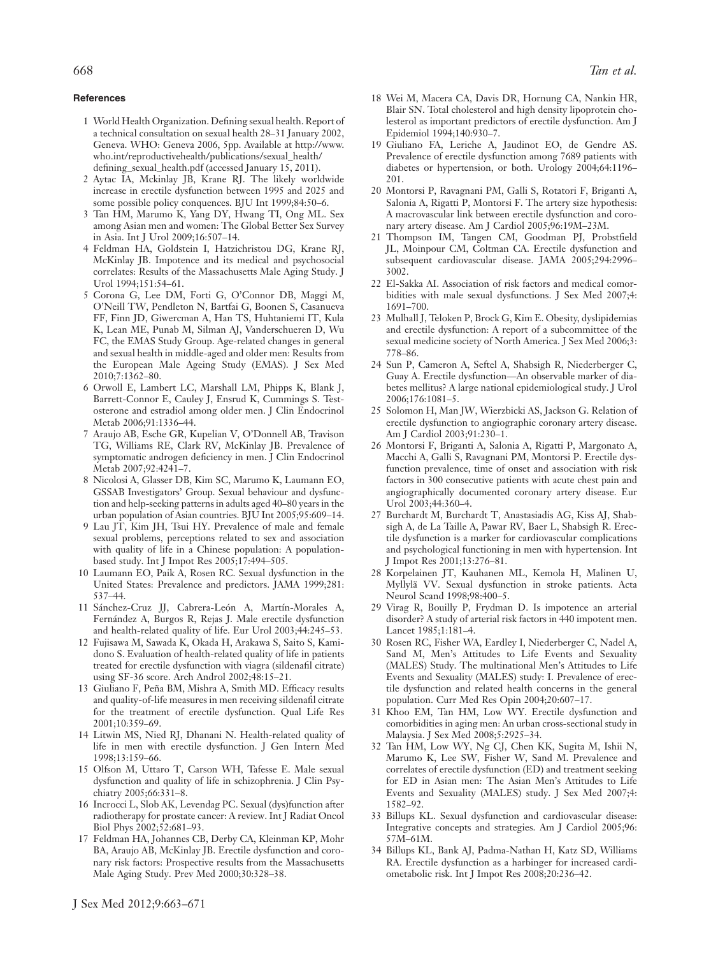#### **References**

- 1 World Health Organization. Defining sexual health. Report of a technical consultation on sexual health 28–31 January 2002, Geneva. WHO: Geneva 2006, 5pp. Available at http://www. who.int/reproductivehealth/publications/sexual\_health/ defining\_sexual\_health.pdf (accessed January 15, 2011).
- 2 Aytac IA, Mckinlay JB, Krane RJ. The likely worldwide increase in erectile dysfunction between 1995 and 2025 and some possible policy conquences. BJU Int 1999;84:50–6.
- 3 Tan HM, Marumo K, Yang DY, Hwang TI, Ong ML. Sex among Asian men and women: The Global Better Sex Survey in Asia. Int J Urol 2009;16:507–14.
- 4 Feldman HA, Goldstein I, Hatzichristou DG, Krane RJ, McKinlay JB. Impotence and its medical and psychosocial correlates: Results of the Massachusetts Male Aging Study. J Urol 1994;151:54–61.
- 5 Corona G, Lee DM, Forti G, O'Connor DB, Maggi M, O'Neill TW, Pendleton N, Bartfai G, Boonen S, Casanueva FF, Finn JD, Giwercman A, Han TS, Huhtaniemi IT, Kula K, Lean ME, Punab M, Silman AJ, Vanderschueren D, Wu FC, the EMAS Study Group. Age-related changes in general and sexual health in middle-aged and older men: Results from the European Male Ageing Study (EMAS). J Sex Med 2010;7:1362–80.
- 6 Orwoll E, Lambert LC, Marshall LM, Phipps K, Blank J, Barrett-Connor E, Cauley J, Ensrud K, Cummings S. Testosterone and estradiol among older men. J Clin Endocrinol Metab 2006;91:1336–44.
- 7 Araujo AB, Esche GR, Kupelian V, O'Donnell AB, Travison TG, Williams RE, Clark RV, McKinlay JB. Prevalence of symptomatic androgen deficiency in men. J Clin Endocrinol Metab 2007;92:4241–7.
- 8 Nicolosi A, Glasser DB, Kim SC, Marumo K, Laumann EO, GSSAB Investigators' Group. Sexual behaviour and dysfunction and help-seeking patterns in adults aged 40–80 years in the urban population of Asian countries. BJU Int 2005;95:609–14.
- 9 Lau JT, Kim JH, Tsui HY. Prevalence of male and female sexual problems, perceptions related to sex and association with quality of life in a Chinese population: A populationbased study. Int J Impot Res 2005;17:494–505.
- 10 Laumann EO, Paik A, Rosen RC. Sexual dysfunction in the United States: Prevalence and predictors. JAMA 1999;281: 537–44.
- 11 Sánchez-Cruz JJ, Cabrera-León A, Martín-Morales A, Fernández A, Burgos R, Rejas J. Male erectile dysfunction and health-related quality of life. Eur Urol 2003;44:245–53.
- 12 Fujisawa M, Sawada K, Okada H, Arakawa S, Saito S, Kamidono S. Evaluation of health-related quality of life in patients treated for erectile dysfunction with viagra (sildenafil citrate) using SF-36 score. Arch Androl 2002;48:15–21.
- 13 Giuliano F, Peña BM, Mishra A, Smith MD. Efficacy results and quality-of-life measures in men receiving sildenafil citrate for the treatment of erectile dysfunction. Qual Life Res 2001;10:359–69.
- 14 Litwin MS, Nied RJ, Dhanani N. Health-related quality of life in men with erectile dysfunction. J Gen Intern Med 1998;13:159–66.
- 15 Olfson M, Uttaro T, Carson WH, Tafesse E. Male sexual dysfunction and quality of life in schizophrenia. J Clin Psychiatry 2005;66:331–8.
- 16 Incrocci L, Slob AK, Levendag PC. Sexual (dys)function after radiotherapy for prostate cancer: A review. Int J Radiat Oncol Biol Phys 2002;52:681–93.
- 17 Feldman HA, Johannes CB, Derby CA, Kleinman KP, Mohr BA, Araujo AB, McKinlay JB. Erectile dysfunction and coronary risk factors: Prospective results from the Massachusetts Male Aging Study. Prev Med 2000;30:328–38.
- 18 Wei M, Macera CA, Davis DR, Hornung CA, Nankin HR, Blair SN. Total cholesterol and high density lipoprotein cholesterol as important predictors of erectile dysfunction. Am J Epidemiol 1994;140:930–7.
- 19 Giuliano FA, Leriche A, Jaudinot EO, de Gendre AS. Prevalence of erectile dysfunction among 7689 patients with diabetes or hypertension, or both. Urology 2004;64:1196– 201.
- 20 Montorsi P, Ravagnani PM, Galli S, Rotatori F, Briganti A, Salonia A, Rigatti P, Montorsi F. The artery size hypothesis: A macrovascular link between erectile dysfunction and coronary artery disease. Am J Cardiol 2005;96:19M–23M.
- 21 Thompson IM, Tangen CM, Goodman PJ, Probstfield JL, Moinpour CM, Coltman CA. Erectile dysfunction and subsequent cardiovascular disease. JAMA 2005;294:2996– 3002.
- 22 El-Sakka AI. Association of risk factors and medical comorbidities with male sexual dysfunctions. J Sex Med 2007;4: 1691–700.
- 23 Mulhall J, Teloken P, Brock G, Kim E. Obesity, dyslipidemias and erectile dysfunction: A report of a subcommittee of the sexual medicine society of North America. J Sex Med 2006;3: 778–86.
- 24 Sun P, Cameron A, Seftel A, Shabsigh R, Niederberger C, Guay A. Erectile dysfunction—An observable marker of diabetes mellitus? A large national epidemiological study. J Urol 2006;176:1081–5.
- 25 Solomon H, Man JW, Wierzbicki AS, Jackson G. Relation of erectile dysfunction to angiographic coronary artery disease. Am J Cardiol 2003;91:230–1.
- 26 Montorsi F, Briganti A, Salonia A, Rigatti P, Margonato A, Macchi A, Galli S, Ravagnani PM, Montorsi P. Erectile dysfunction prevalence, time of onset and association with risk factors in 300 consecutive patients with acute chest pain and angiographically documented coronary artery disease. Eur Urol 2003;44:360–4.
- 27 Burchardt M, Burchardt T, Anastasiadis AG, Kiss AJ, Shabsigh A, de La Taille A, Pawar RV, Baer L, Shabsigh R. Erectile dysfunction is a marker for cardiovascular complications and psychological functioning in men with hypertension. Int J Impot Res 2001;13:276–81.
- 28 Korpelainen JT, Kauhanen ML, Kemola H, Malinen U, Myllylä VV. Sexual dysfunction in stroke patients. Acta Neurol Scand 1998;98:400–5.
- 29 Virag R, Bouilly P, Frydman D. Is impotence an arterial disorder? A study of arterial risk factors in 440 impotent men. Lancet 1985;1:181–4.
- 30 Rosen RC, Fisher WA, Eardley I, Niederberger C, Nadel A, Sand M, Men's Attitudes to Life Events and Sexuality (MALES) Study. The multinational Men's Attitudes to Life Events and Sexuality (MALES) study: I. Prevalence of erectile dysfunction and related health concerns in the general population. Curr Med Res Opin 2004;20:607–17.
- 31 Khoo EM, Tan HM, Low WY. Erectile dysfunction and comorbidities in aging men: An urban cross-sectional study in Malaysia. J Sex Med 2008;5:2925–34.
- 32 Tan HM, Low WY, Ng CJ, Chen KK, Sugita M, Ishii N, Marumo K, Lee SW, Fisher W, Sand M. Prevalence and correlates of erectile dysfunction (ED) and treatment seeking for ED in Asian men: The Asian Men's Attitudes to Life Events and Sexuality (MALES) study. J Sex Med 2007;4: 1582–92.
- 33 Billups KL. Sexual dysfunction and cardiovascular disease: Integrative concepts and strategies. Am J Cardiol 2005;96: 57M–61M.
- 34 Billups KL, Bank AJ, Padma-Nathan H, Katz SD, Williams RA. Erectile dysfunction as a harbinger for increased cardiometabolic risk. Int J Impot Res 2008;20:236–42.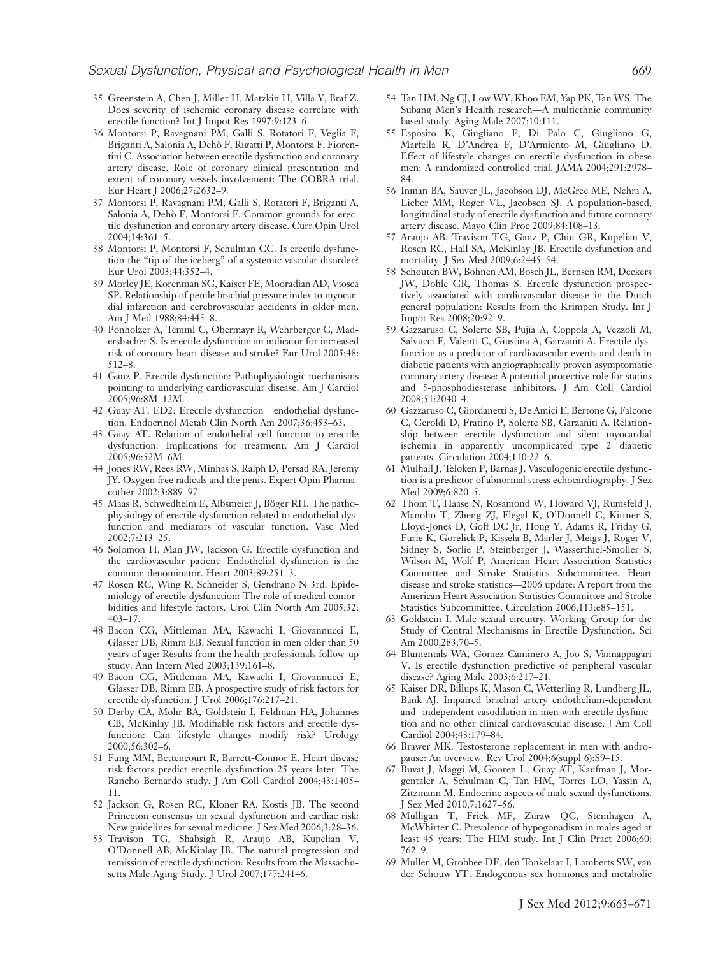- 35 Greenstein A, Chen J, Miller H, Matzkin H, Villa Y, Braf Z. Does severity of ischemic coronary disease correlate with erectile function? Int J Impot Res 1997;9:123–6.
- 36 Montorsi P, Ravagnani PM, Galli S, Rotatori F, Veglia F, Briganti A, Salonia A, Dehò F, Rigatti P, Montorsi F, Fiorentini C. Association between erectile dysfunction and coronary artery disease. Role of coronary clinical presentation and extent of coronary vessels involvement: The COBRA trial. Eur Heart J 2006;27:2632–9.
- 37 Montorsi P, Ravagnani PM, Galli S, Rotatori F, Briganti A, Salonia A, Dehò F, Montorsi F. Common grounds for erectile dysfunction and coronary artery disease. Curr Opin Urol 2004;14:361–5.
- 38 Montorsi P, Montorsi F, Schulman CC. Is erectile dysfunction the "tip of the iceberg" of a systemic vascular disorder? Eur Urol 2003;44:352–4.
- 39 Morley JE, Korenman SG, Kaiser FE, Mooradian AD, Viosca SP. Relationship of penile brachial pressure index to myocardial infarction and cerebrovascular accidents in older men. Am J Med 1988;84:445–8.
- 40 Ponholzer A, Temml C, Obermayr R, Wehrberger C, Madersbacher S. Is erectile dysfunction an indicator for increased risk of coronary heart disease and stroke? Eur Urol 2005;48: 512–8.
- 41 Ganz P. Erectile dysfunction: Pathophysiologic mechanisms pointing to underlying cardiovascular disease. Am J Cardiol 2005;96:8M–12M.
- 42 Guay AT. ED2: Erectile dysfunction = endothelial dysfunction. Endocrinol Metab Clin North Am 2007;36:453–63.
- 43 Guay AT. Relation of endothelial cell function to erectile dysfunction: Implications for treatment. Am J Cardiol 2005;96:52M–6M.
- 44 Jones RW, Rees RW, Minhas S, Ralph D, Persad RA, Jeremy JY. Oxygen free radicals and the penis. Expert Opin Pharmacother 2002;3:889–97.
- 45 Maas R, Schwedhelm E, Albsmeier J, Böger RH. The pathophysiology of erectile dysfunction related to endothelial dysfunction and mediators of vascular function. Vasc Med 2002;7:213–25.
- 46 Solomon H, Man JW, Jackson G. Erectile dysfunction and the cardiovascular patient: Endothelial dysfunction is the common denominator. Heart 2003;89:251–3.
- 47 Rosen RC, Wing R, Schneider S, Gendrano N 3rd. Epidemiology of erectile dysfunction: The role of medical comorbidities and lifestyle factors. Urol Clin North Am 2005;32: 403–17.
- 48 Bacon CG, Mittleman MA, Kawachi I, Giovannucci E, Glasser DB, Rimm EB. Sexual function in men older than 50 years of age: Results from the health professionals follow-up study. Ann Intern Med 2003;139:161–8.
- 49 Bacon CG, Mittleman MA, Kawachi I, Giovannucci E, Glasser DB, Rimm EB. A prospective study of risk factors for erectile dysfunction. J Urol 2006;176:217–21.
- 50 Derby CA, Mohr BA, Goldstein I, Feldman HA, Johannes CB, McKinlay JB. Modifiable risk factors and erectile dysfunction: Can lifestyle changes modify risk? Urology 2000;56:302–6.
- 51 Fung MM, Bettencourt R, Barrett-Connor E. Heart disease risk factors predict erectile dysfunction 25 years later: The Rancho Bernardo study. J Am Coll Cardiol 2004;43:1405– 11.
- 52 Jackson G, Rosen RC, Kloner RA, Kostis JB. The second Princeton consensus on sexual dysfunction and cardiac risk: New guidelines for sexual medicine. J Sex Med 2006;3:28–36.
- 53 Travison TG, Shabsigh R, Araujo AB, Kupelian V, O'Donnell AB, McKinlay JB. The natural progression and remission of erectile dysfunction: Results from the Massachusetts Male Aging Study. J Urol 2007;177:241–6.
- 54 Tan HM, Ng CJ, Low WY, Khoo EM, Yap PK, Tan WS. The Subang Men's Health research—A multiethnic community based study. Aging Male 2007;10:111.
- 55 Esposito K, Giugliano F, Di Palo C, Giugliano G, Marfella R, D'Andrea F, D'Armiento M, Giugliano D. Effect of lifestyle changes on erectile dysfunction in obese men: A randomized controlled trial. JAMA 2004;291:2978– 84.
- 56 Inman BA, Sauver JL, Jacobson DJ, McGree ME, Nehra A, Lieber MM, Roger VL, Jacobsen SJ. A population-based, longitudinal study of erectile dysfunction and future coronary artery disease. Mayo Clin Proc 2009;84:108–13.
- 57 Araujo AB, Travison TG, Ganz P, Chiu GR, Kupelian V, Rosen RC, Hall SA, McKinlay JB. Erectile dysfunction and mortality. J Sex Med 2009;6:2445–54.
- 58 Schouten BW, Bohnen AM, Bosch JL, Bernsen RM, Deckers JW, Dohle GR, Thomas S. Erectile dysfunction prospectively associated with cardiovascular disease in the Dutch general population: Results from the Krimpen Study. Int J Impot Res 2008;20:92–9.
- 59 Gazzaruso C, Solerte SB, Pujia A, Coppola A, Vezzoli M, Salvucci F, Valenti C, Giustina A, Garzaniti A. Erectile dysfunction as a predictor of cardiovascular events and death in diabetic patients with angiographically proven asymptomatic coronary artery disease: A potential protective role for statins and 5-phosphodiesterase inhibitors. J Am Coll Cardiol 2008;51:2040–4.
- 60 Gazzaruso C, Giordanetti S, De Amici E, Bertone G, Falcone C, Geroldi D, Fratino P, Solerte SB, Garzaniti A. Relationship between erectile dysfunction and silent myocardial ischemia in apparently uncomplicated type 2 diabetic patients. Circulation 2004;110:22–6.
- 61 Mulhall J, Teloken P, Barnas J. Vasculogenic erectile dysfunction is a predictor of abnormal stress echocardiography. J Sex Med 2009;6:820–5.
- 62 Thom T, Haase N, Rosamond W, Howard VJ, Rumsfeld J, Manolio T, Zheng ZJ, Flegal K, O'Donnell C, Kittner S, Lloyd-Jones D, Goff DC Jr, Hong Y, Adams R, Friday G, Furie K, Gorelick P, Kissela B, Marler J, Meigs J, Roger V, Sidney S, Sorlie P, Steinberger J, Wasserthiel-Smoller S, Wilson M, Wolf P, American Heart Association Statistics Committee and Stroke Statistics Subcommittee. Heart disease and stroke statistics—2006 update: A report from the American Heart Association Statistics Committee and Stroke Statistics Subcommittee. Circulation 2006;113:e85–151.
- 63 Goldstein I. Male sexual circuitry. Working Group for the Study of Central Mechanisms in Erectile Dysfunction. Sci Am 2000;283:70–5.
- 64 Blumentals WA, Gomez-Caminero A, Joo S, Vannappagari V. Is erectile dysfunction predictive of peripheral vascular disease? Aging Male 2003;6:217–21.
- 65 Kaiser DR, Billups K, Mason C, Wetterling R, Lundberg JL, Bank AJ. Impaired brachial artery endothelium-dependent and -independent vasodilation in men with erectile dysfunction and no other clinical cardiovascular disease. J Am Coll Cardiol 2004;43:179–84.
- 66 Brawer MK. Testosterone replacement in men with andropause: An overview. Rev Urol 2004;6(suppl 6):S9–15.
- 67 Buvat J, Maggi M, Gooren L, Guay AT, Kaufman J, Morgentaler A, Schulman C, Tan HM, Torres LO, Yassin A, Zitzmann M. Endocrine aspects of male sexual dysfunctions. J Sex Med 2010;7:1627–56.
- 68 Mulligan T, Frick MF, Zuraw QC, Stemhagen A, McWhirter C. Prevalence of hypogonadism in males aged at least 45 years: The HIM study. Int J Clin Pract 2006;60: 762–9.
- 69 Muller M, Grobbee DE, den Tonkelaar I, Lamberts SW, van der Schouw YT. Endogenous sex hormones and metabolic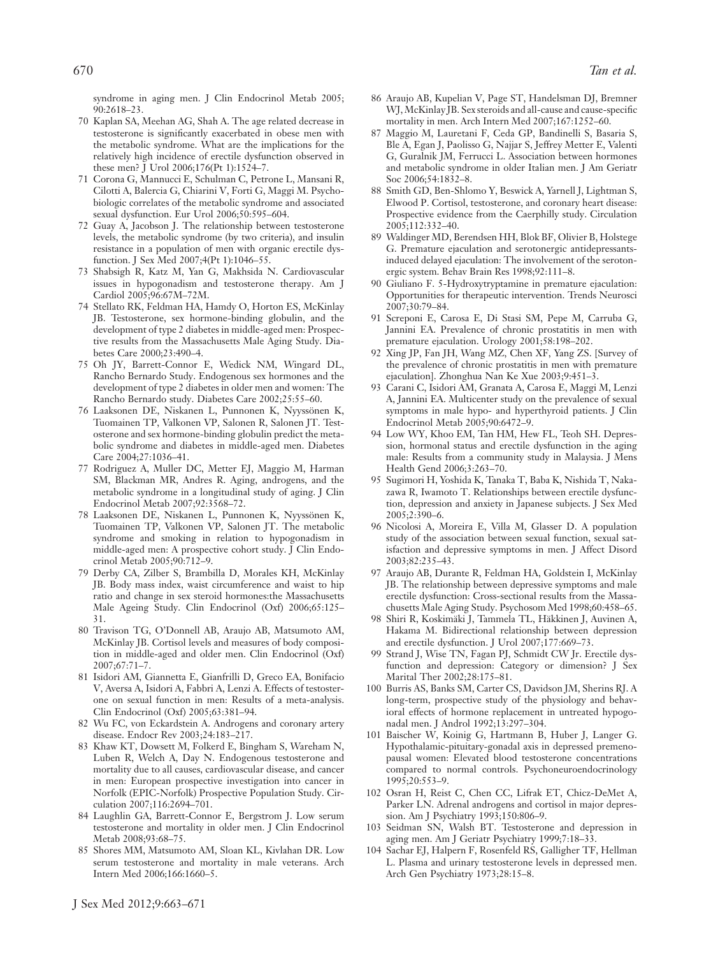syndrome in aging men. J Clin Endocrinol Metab 2005; 90:2618–23.

- 70 Kaplan SA, Meehan AG, Shah A. The age related decrease in testosterone is significantly exacerbated in obese men with the metabolic syndrome. What are the implications for the relatively high incidence of erectile dysfunction observed in these men? J Urol 2006;176(Pt 1):1524–7.
- 71 Corona G, Mannucci E, Schulman C, Petrone L, Mansani R, Cilotti A, Balercia G, Chiarini V, Forti G, Maggi M. Psychobiologic correlates of the metabolic syndrome and associated sexual dysfunction. Eur Urol 2006;50:595–604.
- 72 Guay A, Jacobson J. The relationship between testosterone levels, the metabolic syndrome (by two criteria), and insulin resistance in a population of men with organic erectile dysfunction. J Sex Med 2007;4(Pt 1):1046–55.
- 73 Shabsigh R, Katz M, Yan G, Makhsida N. Cardiovascular issues in hypogonadism and testosterone therapy. Am J Cardiol 2005;96:67M–72M.
- 74 Stellato RK, Feldman HA, Hamdy O, Horton ES, McKinlay JB. Testosterone, sex hormone-binding globulin, and the development of type 2 diabetes in middle-aged men: Prospective results from the Massachusetts Male Aging Study. Diabetes Care 2000;23:490–4.
- 75 Oh JY, Barrett-Connor E, Wedick NM, Wingard DL, Rancho Bernardo Study. Endogenous sex hormones and the development of type 2 diabetes in older men and women: The Rancho Bernardo study. Diabetes Care 2002;25:55–60.
- 76 Laaksonen DE, Niskanen L, Punnonen K, Nyyssönen K, Tuomainen TP, Valkonen VP, Salonen R, Salonen JT. Testosterone and sex hormone-binding globulin predict the metabolic syndrome and diabetes in middle-aged men. Diabetes Care 2004;27:1036–41.
- 77 Rodriguez A, Muller DC, Metter EJ, Maggio M, Harman SM, Blackman MR, Andres R. Aging, androgens, and the metabolic syndrome in a longitudinal study of aging. J Clin Endocrinol Metab 2007;92:3568–72.
- 78 Laaksonen DE, Niskanen L, Punnonen K, Nyyssönen K, Tuomainen TP, Valkonen VP, Salonen JT. The metabolic syndrome and smoking in relation to hypogonadism in middle-aged men: A prospective cohort study. J Clin Endocrinol Metab 2005;90:712–9.
- 79 Derby CA, Zilber S, Brambilla D, Morales KH, McKinlay JB. Body mass index, waist circumference and waist to hip ratio and change in sex steroid hormones:the Massachusetts Male Ageing Study. Clin Endocrinol (Oxf) 2006;65:125– 31.
- 80 Travison TG, O'Donnell AB, Araujo AB, Matsumoto AM, McKinlay JB. Cortisol levels and measures of body composition in middle-aged and older men. Clin Endocrinol (Oxf) 2007;67:71–7.
- 81 Isidori AM, Giannetta E, Gianfrilli D, Greco EA, Bonifacio V, Aversa A, Isidori A, Fabbri A, Lenzi A. Effects of testosterone on sexual function in men: Results of a meta-analysis. Clin Endocrinol (Oxf) 2005;63:381–94.
- 82 Wu FC, von Eckardstein A. Androgens and coronary artery disease. Endocr Rev 2003;24:183–217.
- 83 Khaw KT, Dowsett M, Folkerd E, Bingham S, Wareham N, Luben R, Welch A, Day N. Endogenous testosterone and mortality due to all causes, cardiovascular disease, and cancer in men: European prospective investigation into cancer in Norfolk (EPIC-Norfolk) Prospective Population Study. Circulation 2007;116:2694–701.
- 84 Laughlin GA, Barrett-Connor E, Bergstrom J. Low serum testosterone and mortality in older men. J Clin Endocrinol Metab 2008;93:68–75.
- 85 Shores MM, Matsumoto AM, Sloan KL, Kivlahan DR. Low serum testosterone and mortality in male veterans. Arch Intern Med 2006;166:1660–5.
- 86 Araujo AB, Kupelian V, Page ST, Handelsman DJ, Bremner WJ, McKinlay JB. Sex steroids and all-cause and cause-specific mortality in men. Arch Intern Med 2007;167:1252–60.
- 87 Maggio M, Lauretani F, Ceda GP, Bandinelli S, Basaria S, Ble A, Egan J, Paolisso G, Najjar S, Jeffrey Metter E, Valenti G, Guralnik JM, Ferrucci L. Association between hormones and metabolic syndrome in older Italian men. J Am Geriatr Soc 2006;54:1832–8.
- 88 Smith GD, Ben-Shlomo Y, Beswick A, Yarnell J, Lightman S, Elwood P. Cortisol, testosterone, and coronary heart disease: Prospective evidence from the Caerphilly study. Circulation 2005;112:332–40.
- 89 Waldinger MD, Berendsen HH, Blok BF, Olivier B, Holstege G. Premature ejaculation and serotonergic antidepressantsinduced delayed ejaculation: The involvement of the serotonergic system. Behav Brain Res 1998;92:111–8.
- 90 Giuliano F. 5-Hydroxytryptamine in premature ejaculation: Opportunities for therapeutic intervention. Trends Neurosci 2007;30:79–84.
- 91 Screponi E, Carosa E, Di Stasi SM, Pepe M, Carruba G, Jannini EA. Prevalence of chronic prostatitis in men with premature ejaculation. Urology 2001;58:198–202.
- 92 Xing JP, Fan JH, Wang MZ, Chen XF, Yang ZS. [Survey of the prevalence of chronic prostatitis in men with premature ejaculation]. Zhonghua Nan Ke Xue 2003;9:451–3.
- 93 Carani C, Isidori AM, Granata A, Carosa E, Maggi M, Lenzi A, Jannini EA. Multicenter study on the prevalence of sexual symptoms in male hypo- and hyperthyroid patients. J Clin Endocrinol Metab 2005;90:6472–9.
- 94 Low WY, Khoo EM, Tan HM, Hew FL, Teoh SH. Depression, hormonal status and erectile dysfunction in the aging male: Results from a community study in Malaysia. J Mens Health Gend 2006;3:263–70.
- 95 Sugimori H, Yoshida K, Tanaka T, Baba K, Nishida T, Nakazawa R, Iwamoto T. Relationships between erectile dysfunction, depression and anxiety in Japanese subjects. J Sex Med 2005;2:390–6.
- 96 Nicolosi A, Moreira E, Villa M, Glasser D. A population study of the association between sexual function, sexual satisfaction and depressive symptoms in men. J Affect Disord 2003;82:235–43.
- 97 Araujo AB, Durante R, Feldman HA, Goldstein I, McKinlay JB. The relationship between depressive symptoms and male erectile dysfunction: Cross-sectional results from the Massachusetts Male Aging Study. Psychosom Med 1998;60:458–65.
- 98 Shiri R, Koskimäki J, Tammela TL, Häkkinen J, Auvinen A, Hakama M. Bidirectional relationship between depression and erectile dysfunction. J Urol 2007;177:669–73.
- 99 Strand J, Wise TN, Fagan PJ, Schmidt CW Jr. Erectile dysfunction and depression: Category or dimension? J Sex Marital Ther 2002;28:175–81.
- 100 Burris AS, Banks SM, Carter CS, Davidson JM, Sherins RJ. A long-term, prospective study of the physiology and behavioral effects of hormone replacement in untreated hypogonadal men. J Androl 1992;13:297–304.
- 101 Baischer W, Koinig G, Hartmann B, Huber J, Langer G. Hypothalamic-pituitary-gonadal axis in depressed premenopausal women: Elevated blood testosterone concentrations compared to normal controls. Psychoneuroendocrinology 1995;20:553–9.
- 102 Osran H, Reist C, Chen CC, Lifrak ET, Chicz-DeMet A, Parker LN. Adrenal androgens and cortisol in major depression. Am J Psychiatry 1993;150:806–9.
- 103 Seidman SN, Walsh BT. Testosterone and depression in aging men. Am J Geriatr Psychiatry 1999;7:18–33.
- 104 Sachar EJ, Halpern F, Rosenfeld RS, Galligher TF, Hellman L. Plasma and urinary testosterone levels in depressed men. Arch Gen Psychiatry 1973;28:15–8.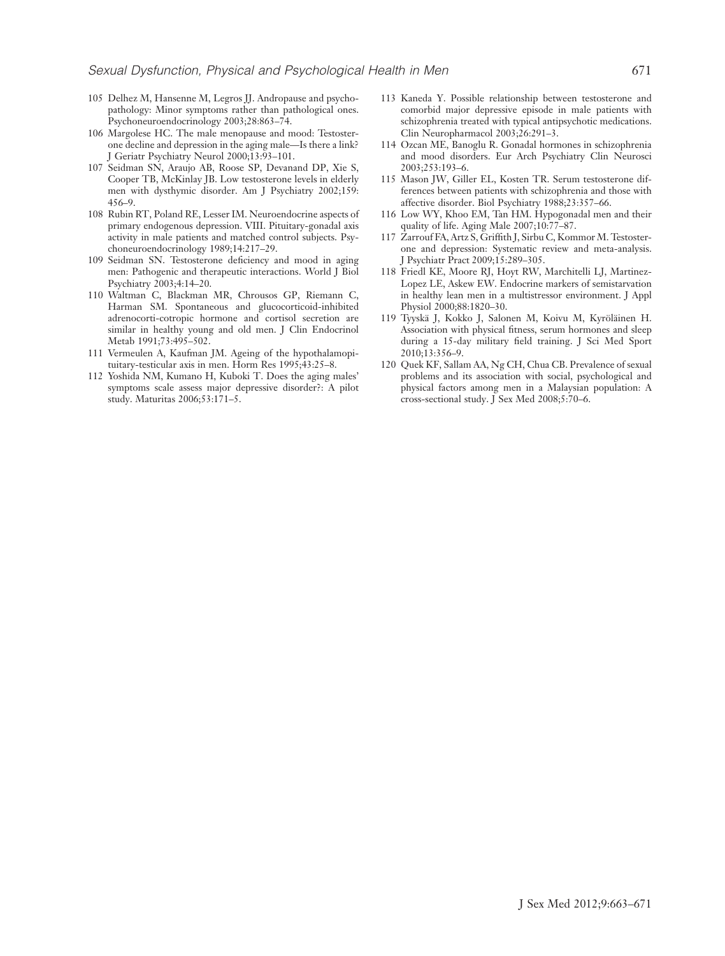- 105 Delhez M, Hansenne M, Legros JJ. Andropause and psychopathology: Minor symptoms rather than pathological ones. Psychoneuroendocrinology 2003;28:863–74.
- 106 Margolese HC. The male menopause and mood: Testosterone decline and depression in the aging male—Is there a link? J Geriatr Psychiatry Neurol 2000;13:93–101.
- 107 Seidman SN, Araujo AB, Roose SP, Devanand DP, Xie S, Cooper TB, McKinlay JB. Low testosterone levels in elderly men with dysthymic disorder. Am J Psychiatry 2002;159: 456–9.
- 108 Rubin RT, Poland RE, Lesser IM. Neuroendocrine aspects of primary endogenous depression. VIII. Pituitary-gonadal axis activity in male patients and matched control subjects. Psychoneuroendocrinology 1989;14:217–29.
- 109 Seidman SN. Testosterone deficiency and mood in aging men: Pathogenic and therapeutic interactions. World J Biol Psychiatry 2003;4:14–20.
- 110 Waltman C, Blackman MR, Chrousos GP, Riemann C, Harman SM. Spontaneous and glucocorticoid-inhibited adrenocorti-cotropic hormone and cortisol secretion are similar in healthy young and old men. J Clin Endocrinol Metab 1991;73:495–502.
- 111 Vermeulen A, Kaufman JM. Ageing of the hypothalamopituitary-testicular axis in men. Horm Res 1995;43:25–8.
- 112 Yoshida NM, Kumano H, Kuboki T. Does the aging males' symptoms scale assess major depressive disorder?: A pilot study. Maturitas 2006;53:171–5.
- 113 Kaneda Y. Possible relationship between testosterone and comorbid major depressive episode in male patients with schizophrenia treated with typical antipsychotic medications. Clin Neuropharmacol 2003;26:291–3.
- 114 Ozcan ME, Banoglu R. Gonadal hormones in schizophrenia and mood disorders. Eur Arch Psychiatry Clin Neurosci 2003;253:193–6.
- 115 Mason JW, Giller EL, Kosten TR. Serum testosterone differences between patients with schizophrenia and those with affective disorder. Biol Psychiatry 1988;23:357–66.
- 116 Low WY, Khoo EM, Tan HM. Hypogonadal men and their quality of life. Aging Male 2007;10:77–87.
- 117 Zarrouf FA, Artz S, Griffith J, Sirbu C, Kommor M. Testosterone and depression: Systematic review and meta-analysis. J Psychiatr Pract 2009;15:289–305.
- 118 Friedl KE, Moore RJ, Hoyt RW, Marchitelli LJ, Martinez-Lopez LE, Askew EW. Endocrine markers of semistarvation in healthy lean men in a multistressor environment. J Appl Physiol 2000;88:1820–30.
- 119 Tyyskä J, Kokko J, Salonen M, Koivu M, Kyröläinen H. Association with physical fitness, serum hormones and sleep during a 15-day military field training. J Sci Med Sport 2010;13:356–9.
- 120 Quek KF, Sallam AA, Ng CH, Chua CB. Prevalence of sexual problems and its association with social, psychological and physical factors among men in a Malaysian population: A cross-sectional study. J Sex Med 2008;5:70–6.